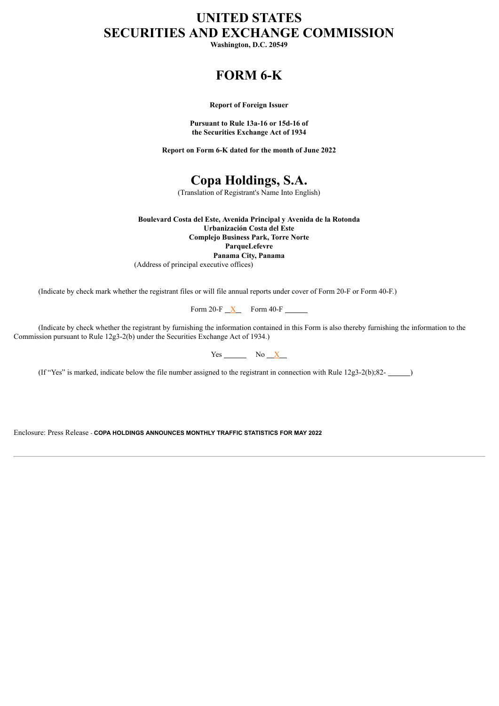## **UNITED STATES SECURITIES AND EXCHANGE COMMISSION**

**Washington, D.C. 20549**

## **FORM 6-K**

**Report of Foreign Issuer**

**Pursuant to Rule 13a-16 or 15d-16 of the Securities Exchange Act of 1934**

**Report on Form 6-K dated for the month of June 2022**

**Copa Holdings, S.A.**

(Translation of Registrant's Name Into English)

**Boulevard Costa del Este, Avenida Principal y Avenida de la Rotonda Urbanización Costa del Este Complejo Business Park, Torre Norte ParqueLefevre**

**Panama City, Panama**

(Address of principal executive offices)

(Indicate by check mark whether the registrant files or will file annual reports under cover of Form 20-F or Form 40-F.)

Form 20-F $\overline{X}$  Form 40-F

(Indicate by check whether the registrant by furnishing the information contained in this Form is also thereby furnishing the information to the Commission pursuant to Rule 12g3-2(b) under the Securities Exchange Act of 1934.)

| ٦, | N٥ |
|----|----|
| es | ٠  |

(If "Yes" is marked, indicate below the file number assigned to the registrant in connection with Rule 12g3-2(b);82-<br>
(B)

Enclosure: Press Release - **COPA HOLDINGS ANNOUNCES MONTHLY TRAFFIC STATISTICS FOR MAY 2022**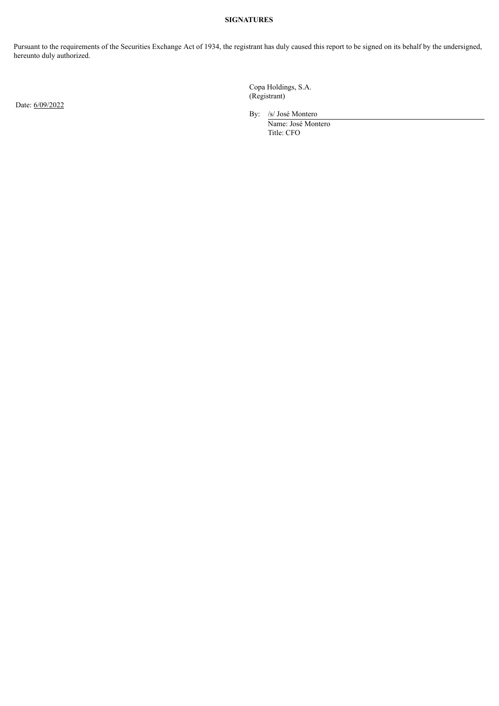## **SIGNATURES**

Pursuant to the requirements of the Securities Exchange Act of 1934, the registrant has duly caused this report to be signed on its behalf by the undersigned, hereunto duly authorized.

Date: 6/09/2022

Copa Holdings, S.A. (Registrant)

By: /s/ José Montero

Name: José Montero Title: CFO